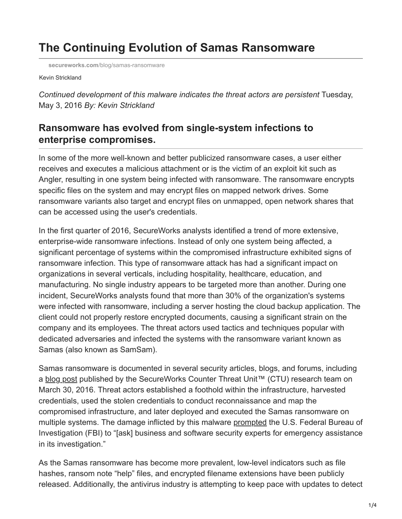## **The Continuing Evolution of Samas Ransomware**

**secureworks.com**[/blog/samas-ransomware](https://www.secureworks.com/blog/samas-ransomware)

Kevin Strickland

*Continued development of this malware indicates the threat actors are persistent* Tuesday, May 3, 2016 *By: Kevin Strickland*

## **Ransomware has evolved from single-system infections to enterprise compromises.**

In some of the more well-known and better publicized ransomware cases, a user either receives and executes a malicious attachment or is the victim of an exploit kit such as Angler, resulting in one system being infected with ransomware. The ransomware encrypts specific files on the system and may encrypt files on mapped network drives. Some ransomware variants also target and encrypt files on unmapped, open network shares that can be accessed using the user's credentials.

In the first quarter of 2016, SecureWorks analysts identified a trend of more extensive, enterprise-wide ransomware infections. Instead of only one system being affected, a significant percentage of systems within the compromised infrastructure exhibited signs of ransomware infection. This type of ransomware attack has had a significant impact on organizations in several verticals, including hospitality, healthcare, education, and manufacturing. No single industry appears to be targeted more than another. During one incident, SecureWorks analysts found that more than 30% of the organization's systems were infected with ransomware, including a server hosting the cloud backup application. The client could not properly restore encrypted documents, causing a significant strain on the company and its employees. The threat actors used tactics and techniques popular with dedicated adversaries and infected the systems with the ransomware variant known as Samas (also known as SamSam).

Samas ransomware is documented in several security articles, blogs, and forums, including a [blog post](https://www.secureworks.com/blog/ransomware-deployed-by-adversary) published by the SecureWorks Counter Threat Unit™ (CTU) research team on March 30, 2016. Threat actors established a foothold within the infrastructure, harvested credentials, used the stolen credentials to conduct reconnaissance and map the compromised infrastructure, and later deployed and executed the Samas ransomware on multiple systems. The damage inflicted by this malware [prompted](http://fortune.com/2016/03/28/fbi-ransomware-extortion-hackers/) the U.S. Federal Bureau of Investigation (FBI) to "[ask] business and software security experts for emergency assistance in its investigation."

As the Samas ransomware has become more prevalent, low-level indicators such as file hashes, ransom note "help" files, and encrypted filename extensions have been publicly released. Additionally, the antivirus industry is attempting to keep pace with updates to detect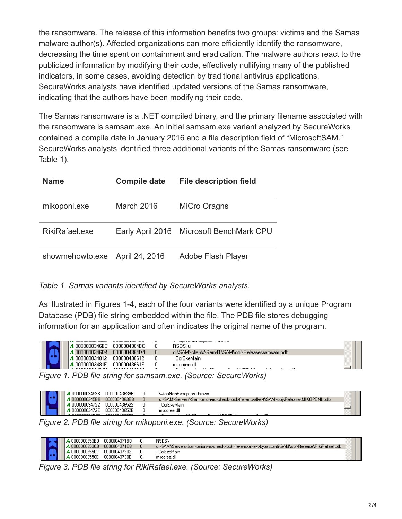the ransomware. The release of this information benefits two groups: victims and the Samas malware author(s). Affected organizations can more efficiently identify the ransomware, decreasing the time spent on containment and eradication. The malware authors react to the publicized information by modifying their code, effectively nullifying many of the published indicators, in some cases, avoiding detection by traditional antivirus applications. SecureWorks analysts have identified updated versions of the Samas ransomware, indicating that the authors have been modifying their code.

The Samas ransomware is a .NET compiled binary, and the primary filename associated with the ransomware is samsam.exe. An initial samsam.exe variant analyzed by SecureWorks contained a compile date in January 2016 and a file description field of "MicrosoftSAM." SecureWorks analysts identified three additional variants of the Samas ransomware (see Table 1).

| <b>Name</b>     | <b>Compile date</b> | <b>File description field</b>            |
|-----------------|---------------------|------------------------------------------|
| mikoponi.exe    | March 2016          | <b>MiCro Oragns</b>                      |
| RikiRafael.exe  |                     | Early April 2016 Microsoft BenchMark CPU |
| showmehowto.exe | April 24, 2016      | Adobe Flash Player                       |

## *Table 1. Samas variants identified by SecureWorks analysts.*

As illustrated in Figures 1-4, each of the four variants were identified by a unique Program Database (PDB) file string embedded within the file. The PDB file stores debugging information for an application and often indicates the original name of the program.

|  | 1 0000000346BC | 0000004364BC | RSDS{u                                          |  |
|--|----------------|--------------|-------------------------------------------------|--|
|  | 0000000346D4   | 0000004364D4 | d:\SAM\clients\Sam41\SAM\obj\Release\samsam.pdb |  |
|  | ,000000034812  | 000000436612 | CorExeMain                                      |  |
|  | 4 00000003481E | 00000043661F | mscoree.dll                                     |  |

*Figure 1. PDB file string for samsam.exe. (Source: SecureWorks)*

|  | 00000003459B          | 000000436398 | WrapNonExceptionThrows                                                               |  |
|--|-----------------------|--------------|--------------------------------------------------------------------------------------|--|
|  | 4 0000000345E8        | 0000004363E8 | ut/SAM/Servers/Sam-onion-no-check-lock-file-enc-all-ext/SAM/obi/Release/MIKOPONI.pdb |  |
|  | <b>A</b> 000000034722 | 000000436522 | CorExeMain                                                                           |  |
|  | A 00000003472E        | 00000043652E | mscoree.dll                                                                          |  |
|  |                       |              |                                                                                      |  |

*Figure 2. PDB file string for mikoponi.exe. (Source: SecureWorks)*

| 0000000353B0<br>l 0000000353C8 | 0000004371B0<br>0000004371C8 | RSDS\<br>ut\SAM\Servers\Sam-onion-no-check-lock-file-enc-all-ext-bypassanti\SAM\obj\Release\RikiRafael.pdb |  |
|--------------------------------|------------------------------|------------------------------------------------------------------------------------------------------------|--|
| 000000035502<br>00000003550E   | 000000437302<br>00000043730E | CorExeMain<br>mscoree.dll                                                                                  |  |

*Figure 3. PDB file string for RikiRafael.exe. (Source: SecureWorks)*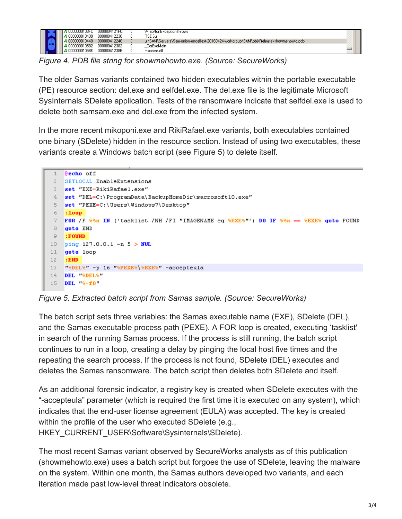| A 0000000103FC | 0000004121FC | WrapNonExceptionThrows                                                                 |  |
|----------------|--------------|----------------------------------------------------------------------------------------|--|
| 4 000000010430 | 000000412230 | RSDSu                                                                                  |  |
| A 000000010448 | 000000412248 | u:\SAM\Servers\Sam-onion-encall-ext-20160424-workgroup\SAM\obj\Release\showmehowto.pdb |  |
| 000000010582   | 000000412382 | CorExeMain                                                                             |  |
| A 00000001058E | 00000041238E | mscoree.dll                                                                            |  |

*Figure 4. PDB file string for showmehowto.exe. (Source: SecureWorks)*

The older Samas variants contained two hidden executables within the portable executable (PE) resource section: del.exe and selfdel.exe. The del.exe file is the legitimate Microsoft SysInternals SDelete application. Tests of the ransomware indicate that selfdel.exe is used to delete both samsam.exe and del.exe from the infected system.

In the more recent mikoponi.exe and RikiRafael.exe variants, both executables contained one binary (SDelete) hidden in the resource section. Instead of using two executables, these variants create a Windows batch script (see Figure 5) to delete itself.

```
1Gecho off
2 SETLOCAL EnableExtensions
   set "EXE=RikiRafael.exe"
3 -4 -set "DEL=C:\ProgramData\BackupHomeDir\macrosoft10.exe"
5 set "PEXE=C:\Users\Uindows7\Desktop"
6
   :10007 FOR /F 88x IN ('tasklist /NH /FI "IMAGENAME eq 8EXE8"') DO IF 88x == 8EXE8 goto FOUND
8
   goto END
9
   : FOUND
10 ping 127.0.0.1 -n 5 > NUL
11goto loop
12 -: END
13 "%DEL%" -p 16 "%PEXE%\%EXE%" -accepteula
14 DEL "&DEL&"
15 DEL 8~10"
```
*Figure 5. Extracted batch script from Samas sample. (Source: SecureWorks)*

The batch script sets three variables: the Samas executable name (EXE), SDelete (DEL), and the Samas executable process path (PEXE). A FOR loop is created, executing 'tasklist' in search of the running Samas process. If the process is still running, the batch script continues to run in a loop, creating a delay by pinging the local host five times and the repeating the search process. If the process is not found, SDelete (DEL) executes and deletes the Samas ransomware. The batch script then deletes both SDelete and itself.

As an additional forensic indicator, a registry key is created when SDelete executes with the "-accepteula" parameter (which is required the first time it is executed on any system), which indicates that the end-user license agreement (EULA) was accepted. The key is created within the profile of the user who executed SDelete (e.g., HKEY\_CURRENT\_USER\Software\Sysinternals\SDelete).

The most recent Samas variant observed by SecureWorks analysts as of this publication (showmehowto.exe) uses a batch script but forgoes the use of SDelete, leaving the malware on the system. Within one month, the Samas authors developed two variants, and each iteration made past low-level threat indicators obsolete.